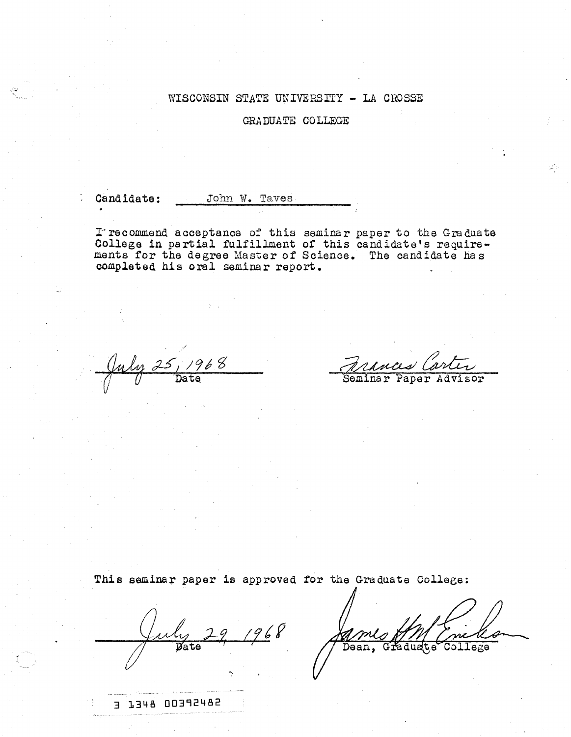### WISCONSIN STATE UNIVERSITY - LA CROSSE

GRADUATE COLLEGE

Candidate:

John W. Taves

I recommend acceptance of this seminar paper to the Graduate College in partial fulfillment of this candidate's requirements for the degree Master of Science. The candidate has completed his oral seminar report.

./ July 25, 1968  $\sqrt{U}$  Date

aces Car Seminar 'Paper Advisor

This seminar paper is approved for the Graduate College:

 $\frac{y}{\text{Date}}$  29 1968

Dean, Graduate College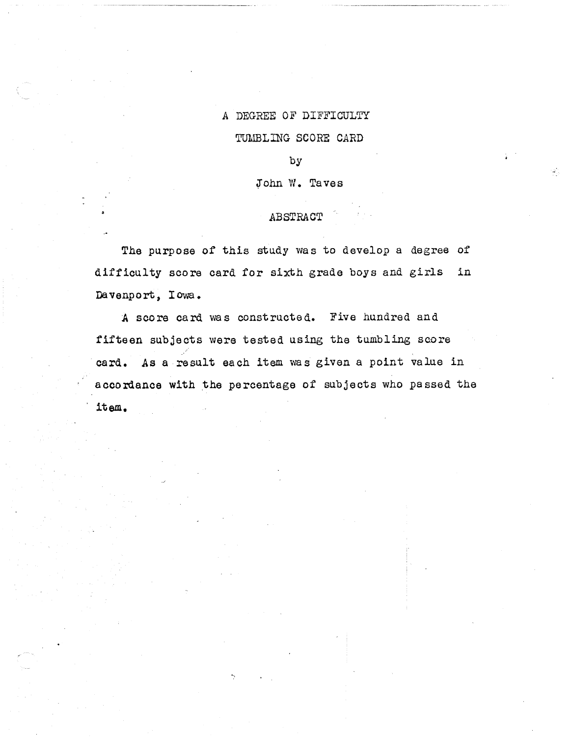### A DEGREE OF DIFFICULTY

### TUMBLING SCORE CARD

by

John W. Taves

### ABSTRACT

The purpose of this study was to develop a degree of difficulty score card for sixth grade boys and girls in Davenport, Iowa.

A score card was constructed. Five hundred and fifteen subjects were tested using the tumbling score card. As a result each item was given a point value in accordance with the percentage of subjects who passed the , **item.**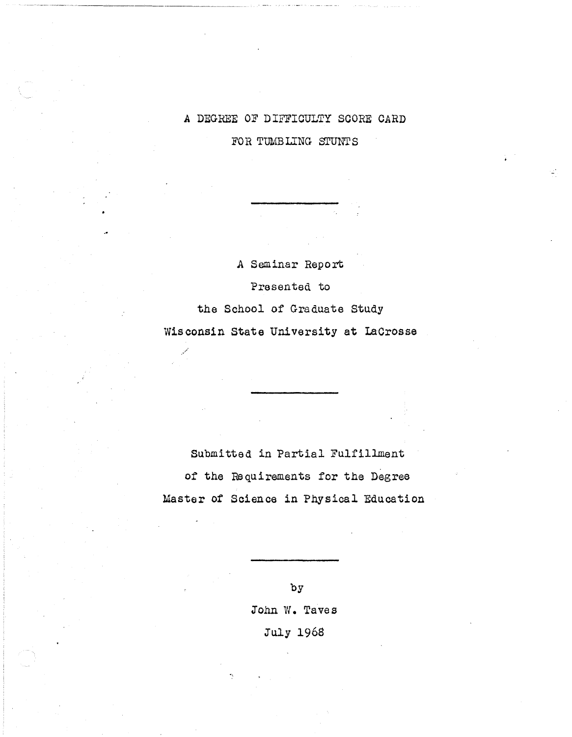# A DEGREE OF DIFFICULTY SCORE CARD

FOR TUMBLING STUNTS

A Seminar Report Presented to the School of Graduate Study Wisconsin State University at laCrosse

/

Submitted in Partial Fulfillment of the Requirements for the Degree Master of Science in Physical Education

> by John W. Taves July 1968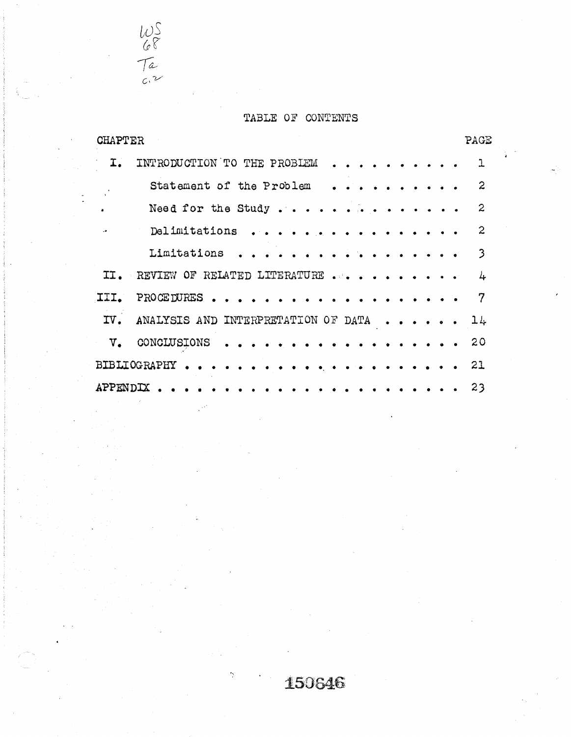# TABLE OF CONTENTS

 $U$ 2  $68$ 

 ${\cal T}a$ *c,v*

| CHAPTER  |                                     |  |  |                                                                                                                           |  | PAGE             |
|----------|-------------------------------------|--|--|---------------------------------------------------------------------------------------------------------------------------|--|------------------|
| I.       | INTRODUCTION TO THE PROBLEM         |  |  |                                                                                                                           |  | 1                |
|          | Statement of the Problem            |  |  |                                                                                                                           |  | $\boldsymbol{2}$ |
|          | Need for the Study                  |  |  |                                                                                                                           |  | 2                |
|          | Delimitations<br>$\cdots$           |  |  |                                                                                                                           |  | $\overline{2}$   |
|          | Limitations                         |  |  |                                                                                                                           |  | 3                |
| TT.      | REVIEW OF RELATED LITERATURE        |  |  |                                                                                                                           |  | 4                |
| III.     | PROCEDURES                          |  |  |                                                                                                                           |  | 7                |
| IV.      | ANALYSIS AND INTERPRETATION OF DATA |  |  | $\begin{array}{cccccccccccccc} \bullet & \bullet & \bullet & \bullet & \bullet & \bullet & \bullet & \bullet \end{array}$ |  | 14               |
| v.       | CONCLUSIONS                         |  |  |                                                                                                                           |  | 20               |
|          | BIBLIOGRAPHY                        |  |  |                                                                                                                           |  | 21               |
| APPENDIX |                                     |  |  |                                                                                                                           |  | 23               |

# 150646

.'.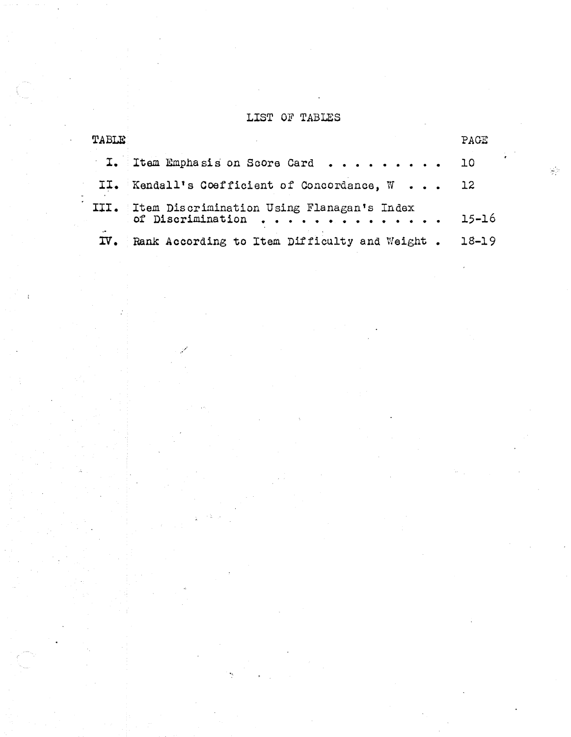# LIST OF TABLES

| <b>TABLE</b> |                                                                      | PAGE      |
|--------------|----------------------------------------------------------------------|-----------|
|              | I. Item Emphasis on Score Card                                       | 10        |
|              | II. Kendall's Coefficient of Concordance, W 12                       |           |
|              | III. Item Discrimination Using Flanagan's Index<br>of Discrimination | $15 - 16$ |
| $\sim$       | IV. Rank According to Item Difficulty and Weight.                    | $18 - 19$ |

/

 $\frac{\partial \mathcal{L}}{\partial \mathcal{L}}$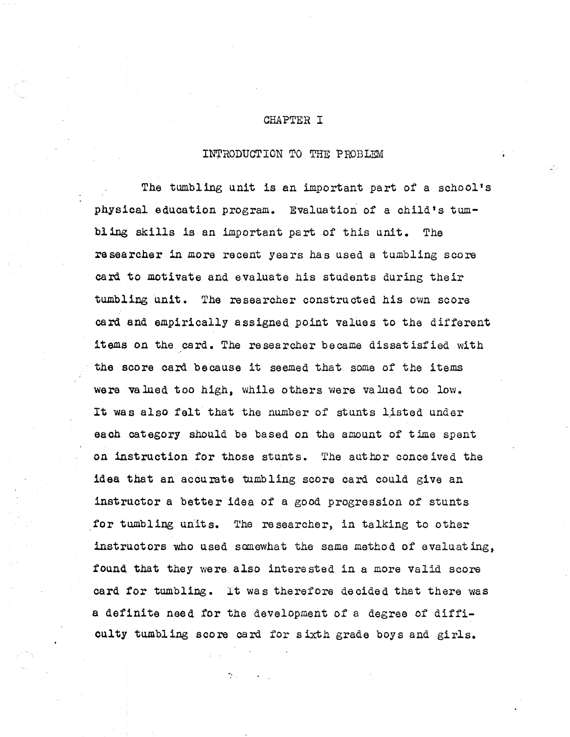### CHAPTER I

### INTRODUCTION TO THE PROBLEM

The tumbling unit is an important part of a school's physical education program. Evaluation of a child's tumbling skills is an important part of this unit. The re searcher in more recent years has used a tumbling score card to motivate and evaluate his students during their tumbling unit. The researcher constructed his own score card and empirically assigned point values to the different items on the card. The researcher became dissatisfied with the score card because it seemed that some of the items were valued too high, while others were valued too low. It was also felt that the number of stunts listed under each category should be based on the amount of time spent on instruction for those stunts. The author conce ived the idea that an accurate tumbling score card could give an instructor a better idea of a good progression of stunts for tumbling units. The researcher, in talking to other instructors who used somewhat the same method of evaluating, found that they were also interested in a more valid score card for tumbling. It was therefore decided that there was a definite need for the development of a degree of difficulty tumbling score card for sixth grade boys and girls.

<'.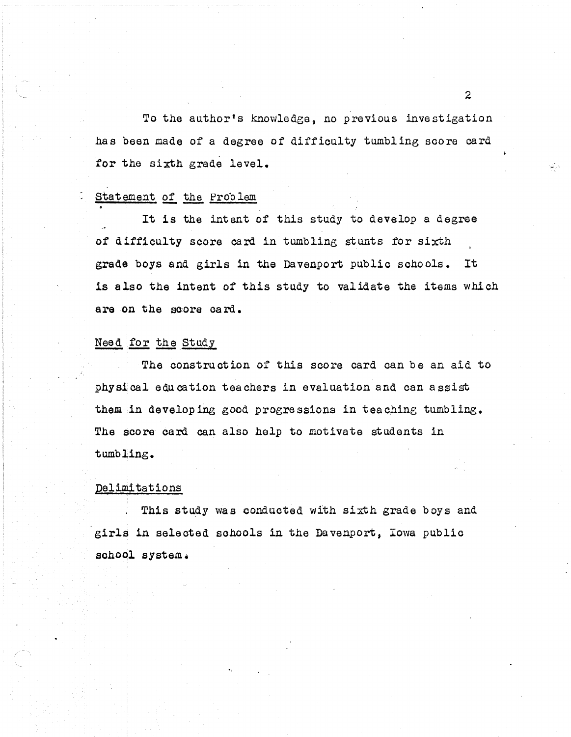To the author's knowledge, no previous investigation has been made of a degree of difficulty tumbling score card for the sixth grade level.

Statement of the Problem<br>It is the intent of this study to develop a degree of difficulty score card in tumbling stunts for sixth grade boys and girls in the Davenport public schools. It is also the intent of this study to validate the items which are on the score card.

### Need for the Study

The construction of this score card can be an aid to physical education teachers in evaluation and can assist them in developing good progressions in teaching tumbling. The score card can also help to motivate students in tumbling.

### Palimitations

This study was conducted with sixth grade boys and girls in selected schools in the Davenport, Iowa public school system.

".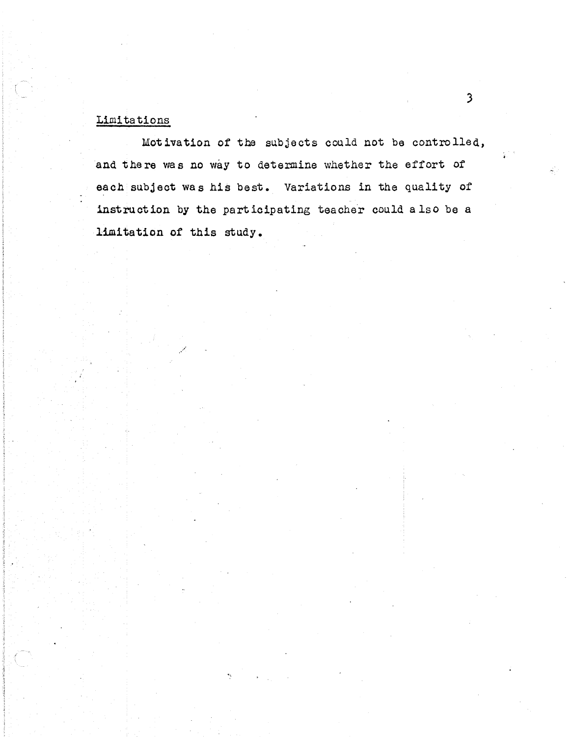# Limitations

Motivation of the subjects could not be controlled, and there was no way to determine whether the effort of each subject was his best. Variations in the quality of instruction by the participating teacher could also be a limitation of this study.

 $\mathfrak{Z}$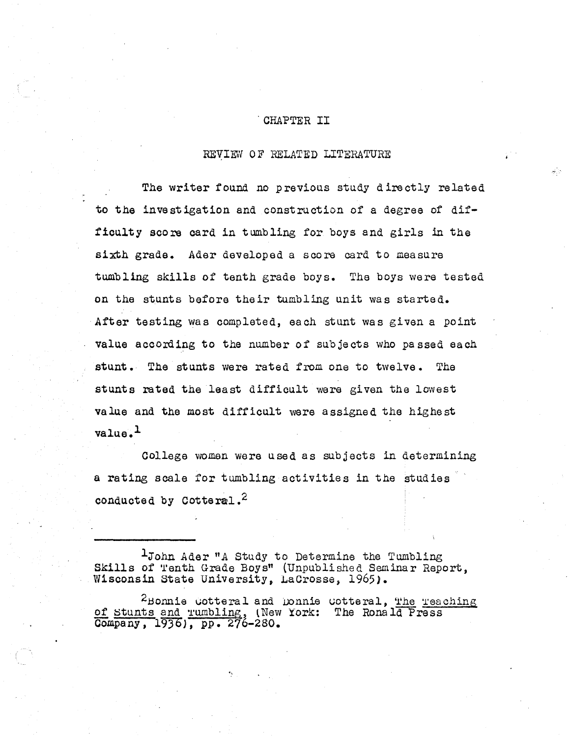### · CHAPTER II

### REVIEW OF RELATED LITERATURE

The writer found no previous study directly related to the investigation and construction of a degree of diffioulty score oard in tumbling for boys and girls in the sixth grade. Ader developed a score card to measure tumbling skills of tenth grade boys. The boys were tested on the stunts before their tumbling unit was started. After testing was completed, each stunt was given a point value according to the number of subjects who passed each stunt. The stunts were rated from one to twelve. The stunts rated the least difficult were given the lowest value and the most difficult were assigned the highest value. l

College women were used as SUbjects in determining a rating scale for tumbling activities in the studies conducted by Cotteral.<sup>2</sup>

IJohn Ader *"A* Study to Determine the Tumbling Skills of Tenth Grade Boys" (Unpublished Seminar Report, Wisconsin State University, LaCrosse, 1965).

 $2$ Bonnie uotteral and Donnie uotteral, The Teaching of Stunts and Tumbling, (New York: The Ronald Press Oompany, 193bJ, *pp. 276-280.*

",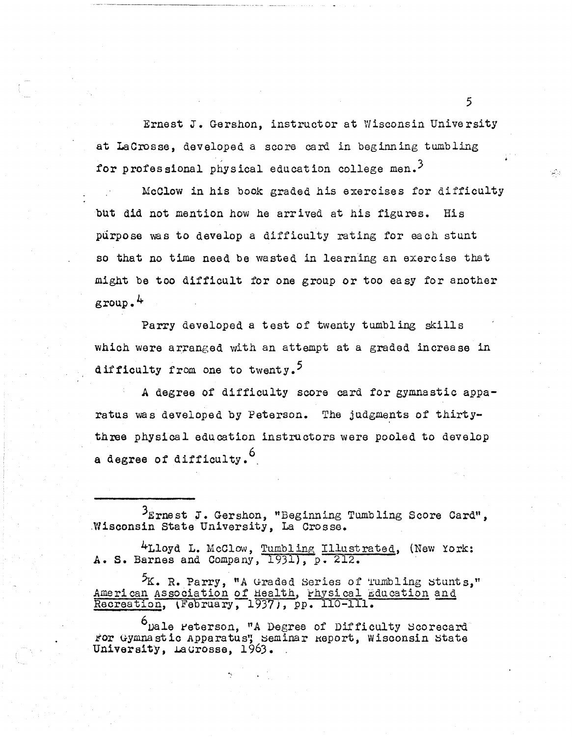Ernest J. Gershon, instructor at Wisconsin University at LaCrosse, developed a score card in beginning tumbling for professional physical education college men.<sup>3</sup>

McClow in his book graded his exercises for difficulty but did not mention how he arrived at his figures. His purpose was to develop a difficulty rating for each stunt so that no time need be wasted in learning an exercise that might be too difficult for one group or too ea sy for another group. 4

Parry developed a test of twenty tumbling skills which were arranged with an attempt at a graded increase in difficulty from one to twenty.<sup>5</sup>

A degree of difficulty score card for gymnastic apparatus was developed by Peterson. The judgments of thirtythree physical education instructors were pooled to develop a degree of difficulty.<sup>6</sup>

3Ernest J. Gershon, "Beginning Tumbling Score Card", ,Wisoonsin State University, La Crosse.

4Lloyd L. McClow, Tumbling Illustrated, (New York: A. S. Barnes and Company, 1931), p. 212.

 ${}^5K$ . R. Parry, "A Graded Series of Tumbling Stunts," American Association of Health, Physical Education Recreation, (February, 1937), pp. 110-111.

<sup>O</sup>Dale reterson, "A Degree of Difficulty Scorecard" *ror* Gymnastic Apparatus'; Seminar Report, Wisconsin State University, Laurosse, 1963.

.'.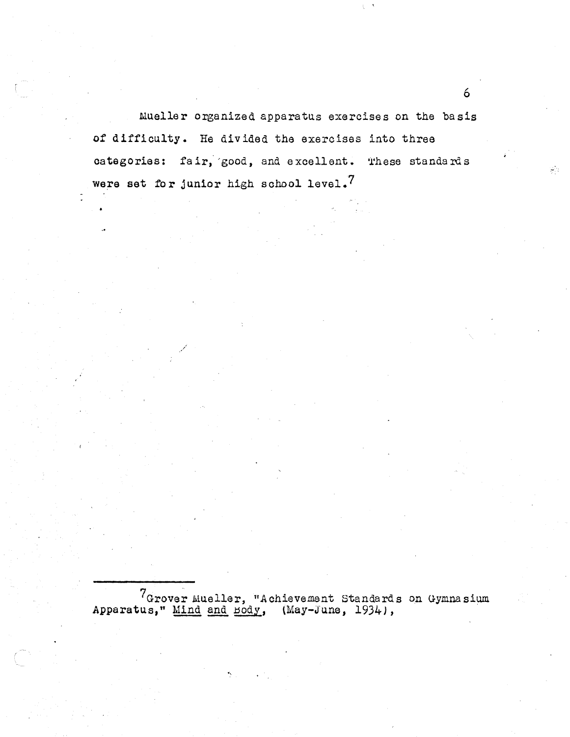Mueller organized apparatus exercises on the basis of difficulty. He divided the exercises into three categories: fair, good, and excellent. These standards were set for junior high school level.<sup>7</sup>

./

 $7G$ rover Mueller, "Achievement Standards on Gymnasium Apparatus," Mind and Body, (May-June, 1934),

".

6

क्षेत्र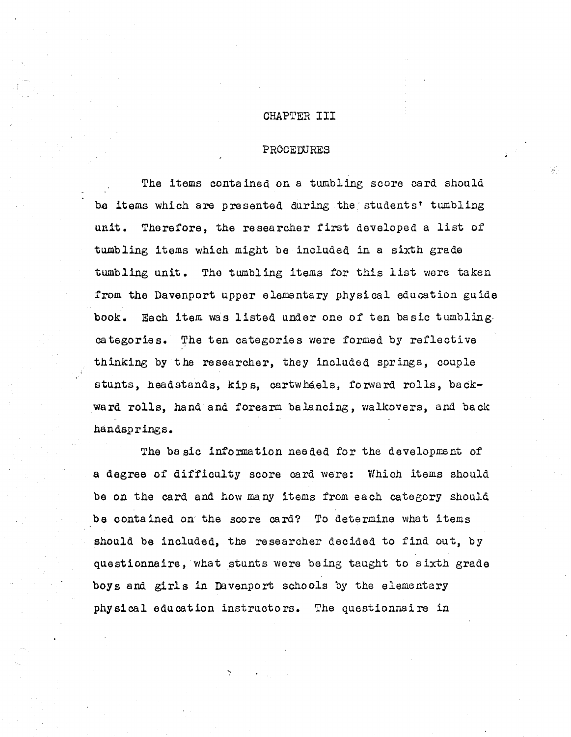### CHAPTER III

### 'PROCEDURES

÷

The items contained on a tumbling score card should ba items which are presented during the' students' tumbling unit. Therefore, the resea rcher first developed <sup>a</sup> list of tumbling items which might be included in a sixth grade tumbling unit. The tumbling items for this list were taken from the Davenport upper elementary physical education guide book. Each item was listed under one of ten basic tumbling, categories. The ten categories were formed by reflective thinking by the researcher, they included springs, couple stunts, headstands, kips, cartwheels, forward rolls, backward rolls, hand and forearm balancing, walkovers, and back handsprings.

The ba sic information needed for the development of a degree of difficulty score card were: Which items should be on the card and how many items from each category should be contained on the score card? To determine what items should be included, the researcher decided to find out, by questionnaire, what stunts were being taught to sixth grade boys and girls in Davenport schools by the elementary physical education instructors. The questionnaire in

".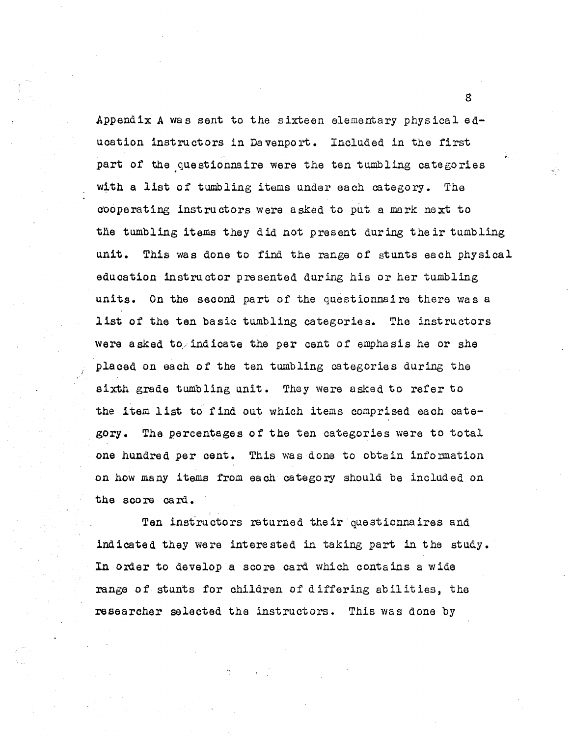Appendix A was sent to the sixteen elementary physical education instructors in Davenport. Included in the first part of the questionnaire were the ten tumbling categories with <sup>a</sup> list of tumbling items under each category. The C'Ooperating instructors were asked to put a mark next to the tumbling items they did not present during the ir tumbling unit. This was done to find the range of stunts each physical education instructor presented during his or her tumbling units. On the second part of the questionnaire there was a list of the ten basic tumbling categories. The instructors were asked to/indicate the per cent of emphasis he or she placed on each of the ten tumbling categories during the sixth grade tumbling unit. They were asked to refer to the item list to find out which items comprised each category. The percentages of the ten categories were to total one hundred per cent. This was done to obtain information on how many items from each category should be included on the score card.

Ten instructors returned their questionnaires and indicated they were interested in taking part in the study. In order to develop a score card which contains a wide range of stunts for children of differing abilities, the researcher selected the instructors. This was done by

".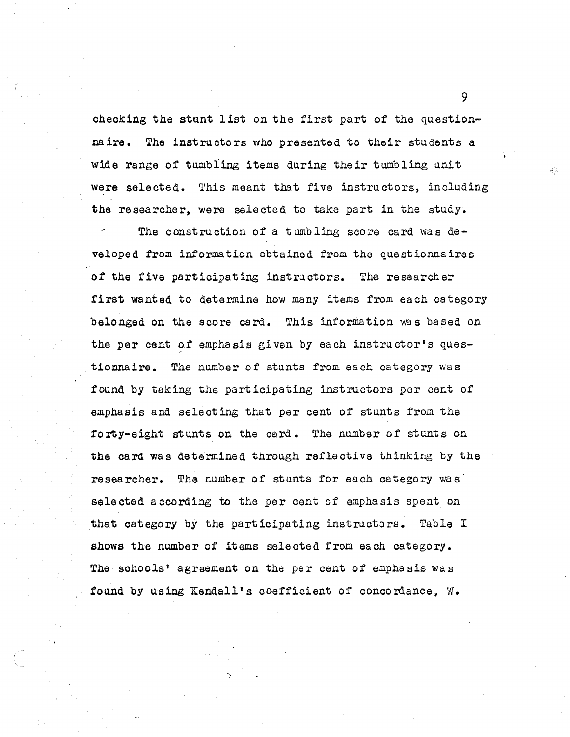checking the stunt 1 ist on the first part of the questionnaire. The instructors who presented to their students a wide range of tumbling items during their tumbling unit were selected. This meant that five instructors, including the researcher, were selected to take part in the study.

The construction of a tumbling score card was developed from. information obtained from the questionnaires of the five participating instructors. The researcher first wanted to determine how many items from each category belonged on the score card. This information was based on the per cent of emphasis given by each instructor's questionnaire. The number of stunts from each category was found by taking the participating instructors per cent of emphasis and selecting that per cent of stunts from the forty-eight stunts on the card. The number of stunts on the card was determined through reflective thinking by the researcher. The number of stunts for each category we s selected according to the per cent of emphasis spent on that category by the participating instructors. Table I shows the number of items selected from each category. The sohools' agreement on the per cent of emphasis was found by using Kendall's coefficient of concordance, W.

•..

9

وترتيع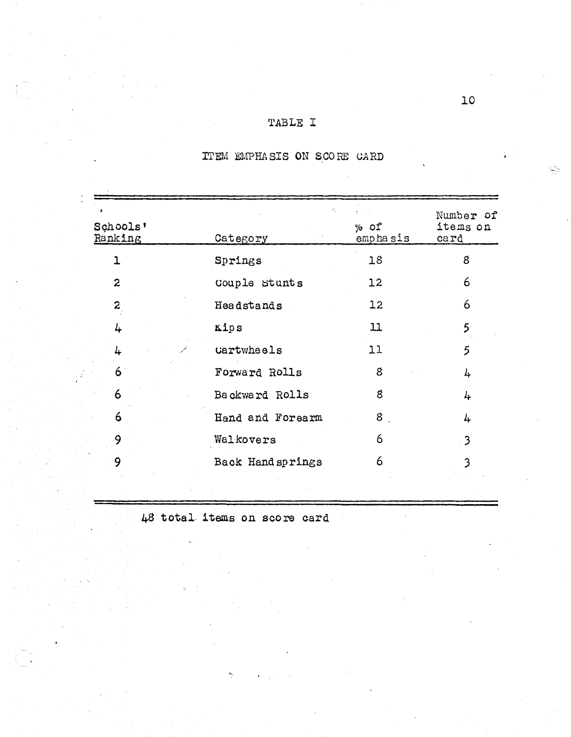### TABLE I

#### Number of Schools'  $%$  of items on Ranking emphasis Category card Springs  $18$  $\mathbf{g}$  $\mathbf{L}$  $\overline{2}$ Couple Stunts  $12<sup>°</sup>$ 6  $\overline{z}$  $12<sup>1</sup>$ 6 Headstands  $11$  $5<sup>5</sup>$ Kips 4  $11$  $\overline{5}$ Cartwheels 4 Forward Rolls 6  $\delta$  $\frac{1}{4}$ 6 Backward Rolls  $\mathcal{E}$  $\frac{1}{2}$  $6 \overline{6}$ Hand and Forearm  $8<sub>1</sub>$ 4 9 6 Walkovers  $\overline{\mathbf{3}}$ 9 Back Hand springs 6  $\overline{\mathbf{3}}$

# ITEM EMPHASIS ON SCORE CARD

48 total items on score card

 $\frac{1}{\sqrt{2}}\Delta$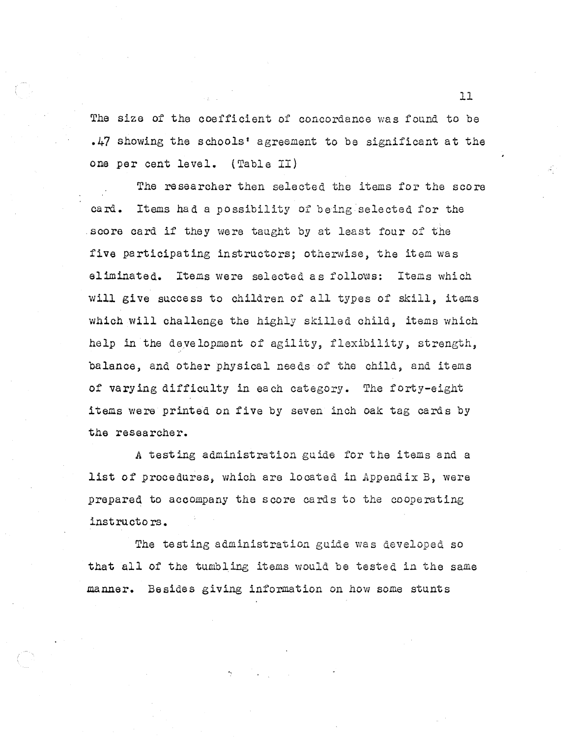The size of the coefficient of concordance was found to be .47 showing the schools' agreement to be significant at the one per cent level. (Table II)

The researcher then selected the items for the score card. Items had a possibility of being selected for the score card if they were taught by at least four of the five participating instructors; otherwise, the item was eliminated. Items were selected as follows: Items which will give success to children of all types of skill, items which will challenge the highly skilled child, items which help in the development of agility, flexibility, strength, balance, and other physical needs of the child, and items of vary ing difficulty in ea ch category. The forty-eight items were printed on five by seven inch oak tag cards by the researcher.

A testing administration guide for the items and a list of procedures, which are located in Appendix B, were prepared to accompany the score cards to the cooperating instructo rs.

The testing administration guide was developed so that all of the tumbling items would be tested in the same manner. Besides giving information on how some stunts

".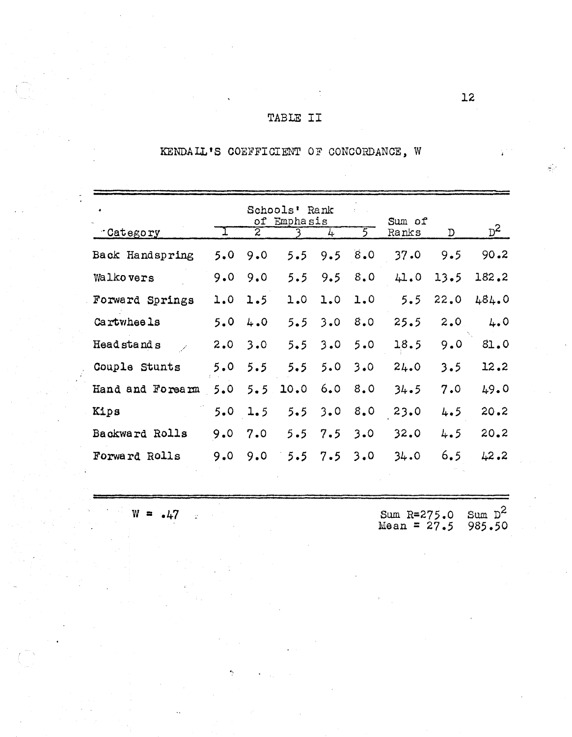# TABLE II

# KENDALL'S COEFFICIENT OF CONCORDANCE, W

| $\bullet$        | Sum of       |                      |            |              |         |               |      |                |
|------------------|--------------|----------------------|------------|--------------|---------|---------------|------|----------------|
| Category         | $\mathbf{I}$ | of<br>$\overline{z}$ | Emphasis   | 4            | $5^{-}$ | Ranks         | D    | $\mathbf{p}^2$ |
| Back Handspring  | 5.0          | 9.0                  | $5.5 -$    |              | 9.58.0  | 37.0          | 9.5  | $90 - 2$       |
| Walkovers        | 9.0          | 9.0                  | 5.5        | 9.5          | 8.0     | 41.0          | 13.5 | 182.2          |
| Forward Springs  | 1.0          | 1.5                  |            | 1.0 1.0      | 1.0     | $5.5^{\circ}$ | 22.0 | 484.0          |
| Cartwheels       | 5.0          | 4.0                  |            | $5.5 \t3.0$  | 8.0     | 25.5          | 2.0  | 4.0            |
| Head stand s     | 2.0          | 3.0                  | 5.5        | 3.0          | 5.0     | 18.5          | 9.0  | 81.0           |
| Couple Stunts    | 5.0          | 5.5                  |            | $5.5 \t 5.0$ | 3.0     | 24.0          | 3.5  | 12.2           |
| Hand and Forearm | 5.0          |                      | $5.5$ 10.0 | 6.0          | 8.0     | 34.5          | 7.0  | 49.0           |
| Kips             |              | $5.0 \t1.5$          | 5.5        | 3.0          | 8.0     | 23.0          | 4.5  | 20.2           |
| Backward Rolls   | 9.0          | 7.0                  | 5.5        | 7.5          | 3.0     | 32.0          | 4.5  | 20.2           |
| Forward Rolls    | 9.0          | 9.0                  | 5.5        | 7.5          | 3.0     | 34.0          | 6.5  | 42.2           |
|                  |              |                      |            |              |         |               |      |                |

 $W = .47$  Sum R=275.0 Sum  $D^2$ Sum R=275.0 Sum D<sup>-2</sup><br>Mean = 27.5 985.50

g).<br>T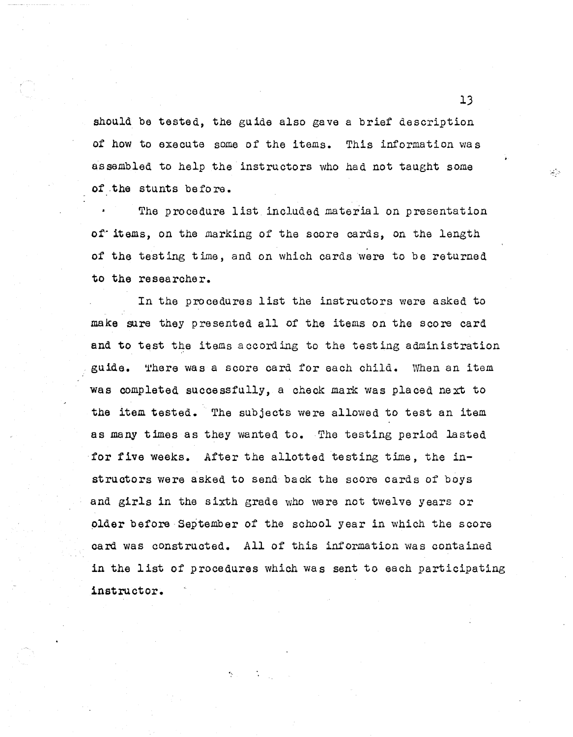should be tested, the guide also gave a brief description of how to execute some of the items. This information was assembled to help the instructors who had not taught some of .the stunts before.

The procedure list included material on presentation of items, on the marking of the score cards, on the length of the test ing time, and on which cards were to be returned to the researcher.

In the procedures list the instructors were asked to make sura they presented all of the items on the score card and to test the items according to the testing administration guide. There was a score card for each child. When an item was completed successfully, a check mark was placed next to the item tested. The SUbjects were allowed to test an item as many times as they wanted to. The testing period lasted for five weeks. After the allotted testing time, the instructors were asked to send back the score cards of boys and girls in the sixth grade who were not twelve years or older before September of the school year in which the score card was constructed. All of this information was contained in the list of procedures which was sent to each participating instructor.

13

 $\mathcal{L}$  .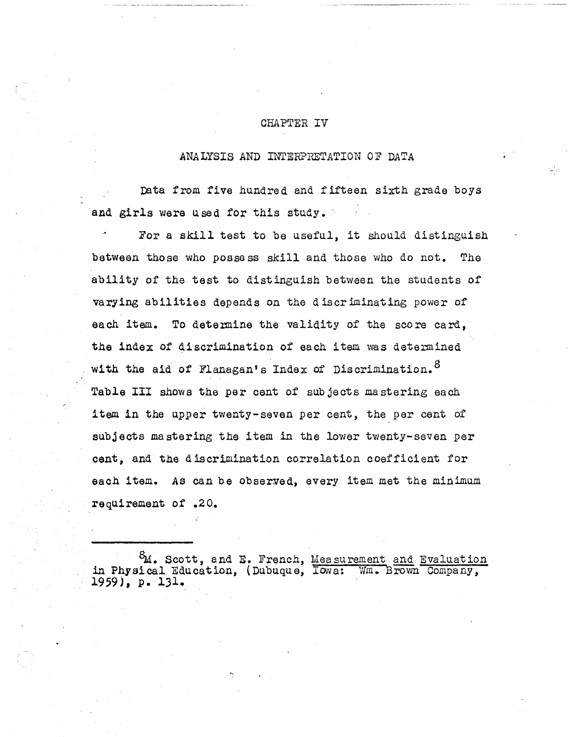### CHAPTER IV

### ANALYSIS AND INTERPRETATION OF DATA

Data from five hundred and fifteen sixth grade boys and girls were used for this study.

For <sup>a</sup> skill test to be useful, it should distinguish between those who possess skill and those who do not. The ability of the test to distinguish between the students of varying abilities depends on the <sup>d</sup> iscr iminating power of each item. To determine the validity of the score card, the index of discrimination of each item was determined with the aid of Flanagan's Index of Discrimination.<sup>8</sup> Table III shows the per cent of subjects mastering each item in the upper twenty-seven per cent, the per cent of subjects mastering the item in the lower twenty-seven per cent, and the discrimination correlation coefficient for each item. As can be observed, every item met the minimum requirement of .2 O.

;

 $^{8}$ M. Scott, and E. French, Measurement and Evaluation in Physical Education, (Dubuque, Iowa: Wm. Brown Company, 1959), p. 131.

".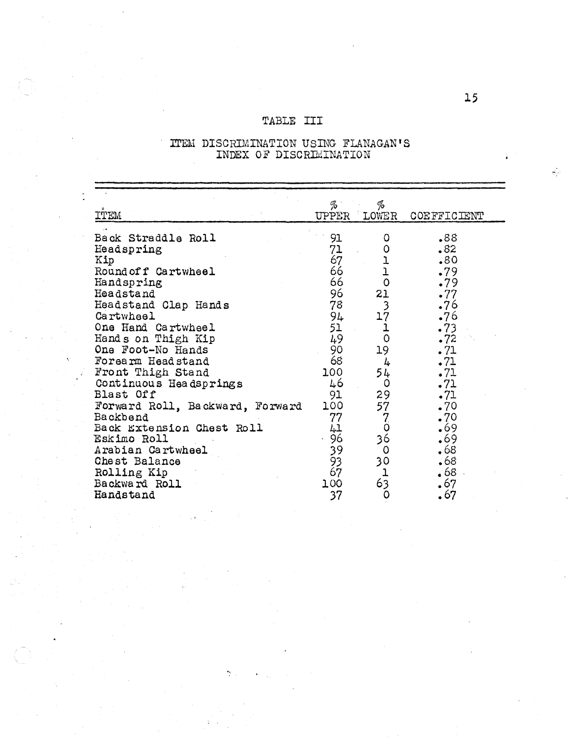# TABLE III

| <b>TTEM</b>                                                                                                                                                                                                                                                                                                                                                                                                                                        | %`<br>UPPER                                                                                                                               | %<br>LOWER                                                                                                                                                                                                                            | COEFFICIENT                                                                                                                                                             |  |
|----------------------------------------------------------------------------------------------------------------------------------------------------------------------------------------------------------------------------------------------------------------------------------------------------------------------------------------------------------------------------------------------------------------------------------------------------|-------------------------------------------------------------------------------------------------------------------------------------------|---------------------------------------------------------------------------------------------------------------------------------------------------------------------------------------------------------------------------------------|-------------------------------------------------------------------------------------------------------------------------------------------------------------------------|--|
| Back Straddle Roll<br>Headspring<br>Kip<br>Round of f Cartwheel<br>Handspring<br>Headstand<br>Headstand Clap Hands<br>Cartwheel<br>One Hand Cartwheel<br>Hands on Thigh Kip<br>One Foot-No Hands<br>Forearm Headstand<br>Front Thigh Stand<br>Continuous Headsprings<br>Blast Off<br>Forward Roll, Backward, Forward<br>Backbend<br>Back Extension Chest Roll<br>Eskimo Roll<br>Arabian Cartwheel<br>Chest Balance<br>Rolling Kip<br>Backward Roll | 91<br>71<br>67<br>66<br>66<br>96<br>78<br>94<br>51<br>49<br>90<br>68<br>100<br>46<br>91<br>100<br>77<br>41<br>96<br>39<br>93<br>67<br>100 | 0<br>0<br>$\begin{array}{c}\n1 \\ 1 \\ 0\n\end{array}$<br>21<br>$\frac{3}{17}$<br>$\mathbf{1}$<br>$\mathbf 0$<br>19<br>4<br>54<br>0<br>29<br>57<br>$\mathbf{Z}$<br>$\ddot{\mathbf{0}}$<br>36<br>$\circ$<br>30<br>1<br>$6\overline{3}$ | .88<br>.82<br>.80<br>.79<br>.79<br>.77<br>.76<br>.76<br>.73<br>.72<br>.71<br>.71<br>.71<br>.71<br>.71<br>.70<br>.70<br>•69<br>.69<br>•68<br>•68<br>68ء<br>$\epsilon$ 67 |  |
| Handstand                                                                                                                                                                                                                                                                                                                                                                                                                                          | 37                                                                                                                                        | 0                                                                                                                                                                                                                                     | 67                                                                                                                                                                      |  |

# **ITEM DISCRIMINATION USING FLANAGAN'S**<br>INDEX OF DISCRIMINATION

 $\omega_{\rm p}$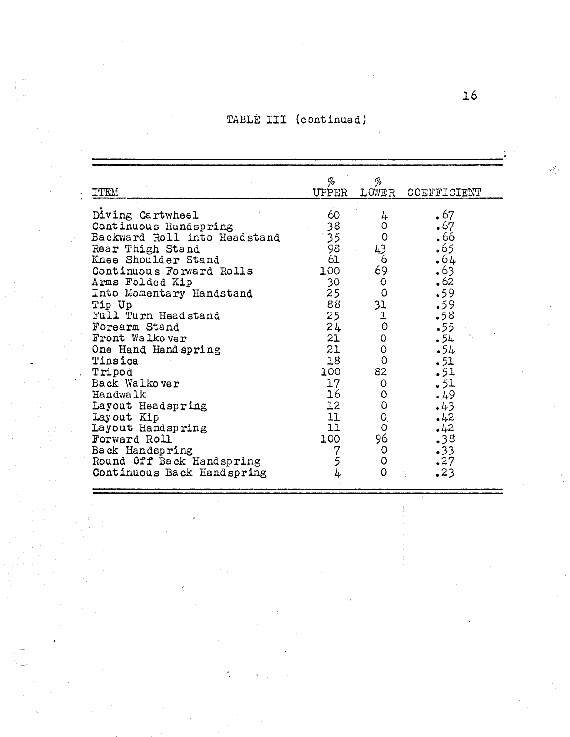# TABLE III (continued)

| ITEM                                                                                                                                                                                                                                                                                                                                                                                                                                                                                                       | %<br>UPPER                                                                                                                                                                          | %<br>LOWER                                                                                                                                                                    | COEFFICIENT                                                                                                                                                                   |
|------------------------------------------------------------------------------------------------------------------------------------------------------------------------------------------------------------------------------------------------------------------------------------------------------------------------------------------------------------------------------------------------------------------------------------------------------------------------------------------------------------|-------------------------------------------------------------------------------------------------------------------------------------------------------------------------------------|-------------------------------------------------------------------------------------------------------------------------------------------------------------------------------|-------------------------------------------------------------------------------------------------------------------------------------------------------------------------------|
| Diving Cartwheel<br>Continuous Handspring<br>Backward Roll into Headstand<br>Rear Thigh Stand<br>Knee Shoulder Stand<br>Continuous Forward Rolls<br>Arms Folded Kip<br>Into Momentary Handstand<br>Tip Up<br>Full Turn Headstand<br>Forearm Stand<br>Front Walkover<br>One Hand Hand spring<br>Tinsica<br>Tripod<br>Back Walkover<br><b>Handwalk</b><br>Layout Headspring<br>Layout Kip<br>Layout Handspring<br>Forward Roll<br>Back Handspring<br>Round Off Back Handspring<br>Continuous Back Handspring | 60<br>38<br>$\overline{35}$<br>98<br>61<br>100<br>30<br>25 <sub>1</sub><br>88<br>25<br>24<br>21<br>21<br>18 <sup>1</sup><br>100<br>17<br>16<br>12<br>11<br>11<br>100<br>7<br>5<br>4 | 4<br>0<br>$\circ$<br>43<br>6<br>69<br>0<br>$\Omega$<br>31<br>ļ<br>$\mathsf O$<br>0<br>$\mathbf 0$<br>$\circ$<br>82<br>$\circ$<br>0<br>0<br>O.<br>$\circ$<br>96<br>0<br>0<br>0 | $\cdot$ 67<br>•67<br>•66<br>.65<br>•64<br>•63<br>•62<br>.59<br>.59<br>.58<br>•55<br>.54<br>.54<br>.51<br>.51<br>.51<br>.49<br>.43<br>.42<br>$-42$<br>.38<br>•33<br>.27<br>.23 |

".

 $\mathcal{L}_{\mathcal{A}}$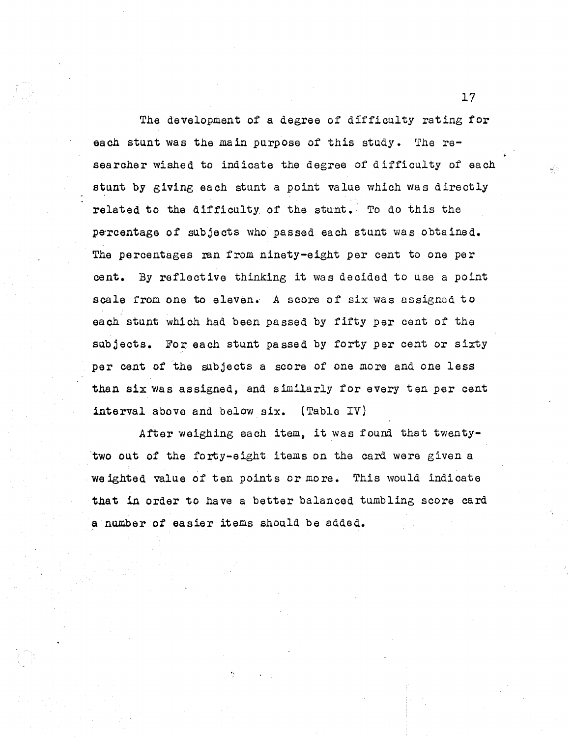The development of a degree of difficulty rating for each stunt was the main purpose of this study. The researcher wished to indicate the degree of difficulty of each stunt by giving each stunt a point value which was directly related to the difficulty of the stunt. To do this the percentage of subjects who passed each stunt was obtained. The percentages ran from ninety-eight per cent to one per cent. By reflective thinking it was decided to use <sup>a</sup> point scale from one to eleven. A score of six was assigned to each stunt which had been passed by fifty per cent of the subjects. For each stunt passed by forty per cent or sixty per cent of the subjects a score of one more and one less than six was assigned, and similarly for every ten per cent interval above and below six. (Table IV)

After weighing each item, it was found that twenty- 'two out of the forty-eight items on the card were given a we ighted value of ten points or more. This would indicate that in order to have a better balanced tumbling score card a number of easier items should be added.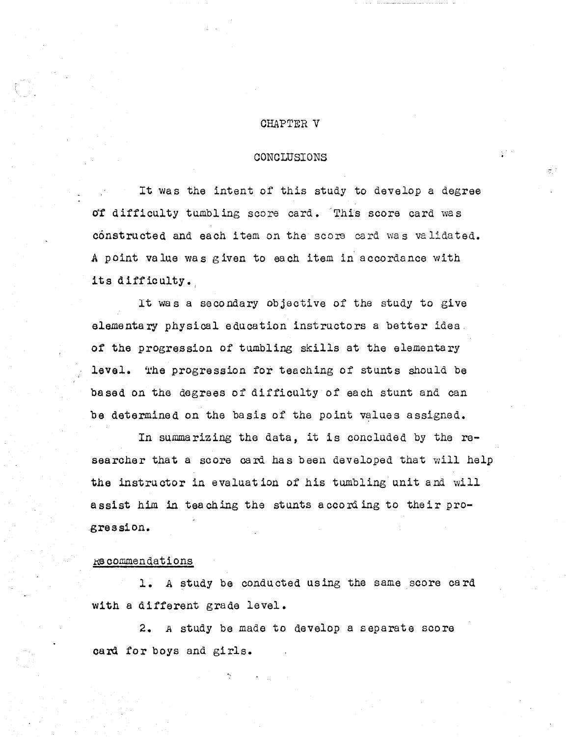### CHAPTER V

### CONCLUSIONS

It was the intent of this study to develop <sup>a</sup> degree of difficulty tumbling score card. This score card was constructed and each item on the score card was validated. .A point value was given to each item in accordance with its difficulty.

It was <sup>a</sup> secondary objective of the study to give elementary physical education instructors a better idea. of the progression of tumbling skills at the elementary level. The progression for teaching of stunts should be based on the degrees of difficulty of each stunt and can be determined on the basis of the point values assigned.

In summarizing the data, it is concluded by the researcher that a score card has been developed that will help the instructor in evaluat ion of his tumbling unit and will assist him in teaching the stunts according to their pro- .gression•

### .KG commendations

1. A study be conducted using the same score card with a different grade level.

2. A study be made to develop a separate score card for boys and girls.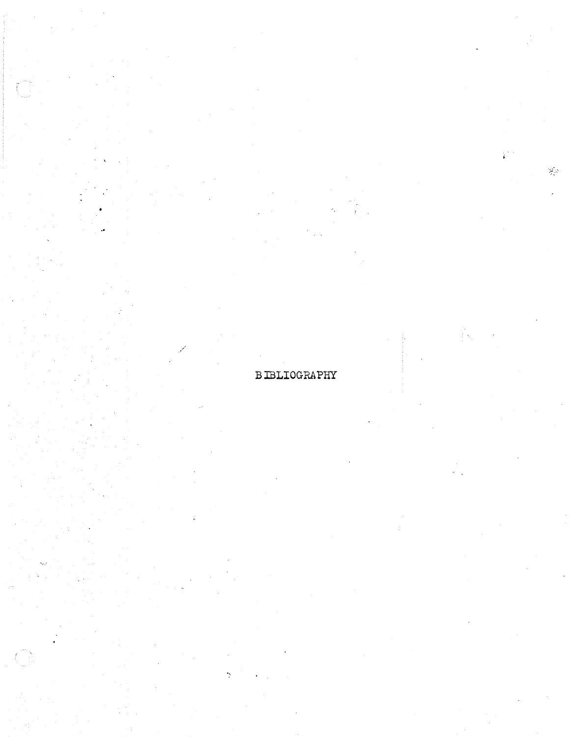# **BIBLIOGRAPHY**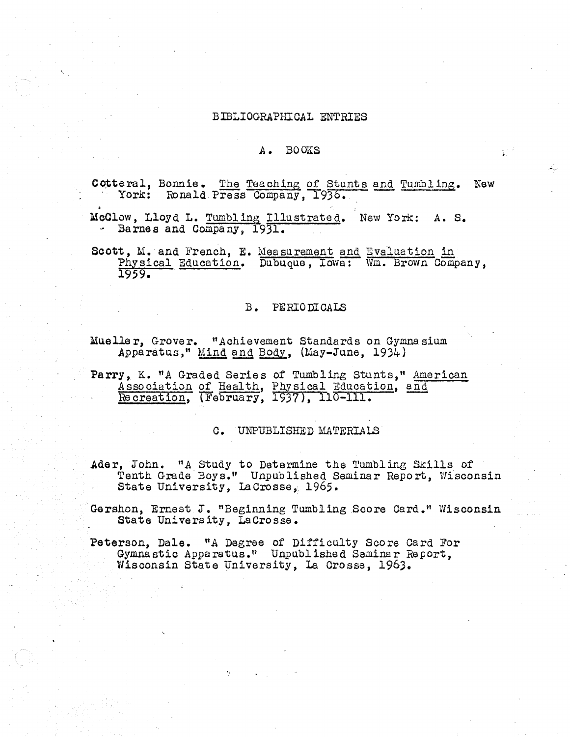### BIBLIOGRAPHICAL ENTRIES

### A. BOOKS

Cotteral, Bonnie. The Teaching of Stunts and Tumbling. New York: Ronald Press Company, 1936.

McClow, Lloyd L. Tumbling Illustrated. New York: A. S. - Barnes and Company, 1931.

Scott, M. and French, E. Measurement and Evaluation in Physical Education. Dubuque, Iowa: Wm. Brown Company, 1959.

### B. PERIODICALS

Mueller, Grover. "Achievement Standards on Gymnasium Apparatus," Mind and Body, (May-June, 1934)

Parry, K. "A Graded Series of Tumbling Stunts," American Association of Health, Physical Education, and Recreation, (February, 1937), 110-111.

C. UNPUBLISHED MATERIALS

Ader, John. "A Study to Determine the Tumbling Skills of Tenth Grade Boys." Unpublished Seminar Report, Wisconsin State University, LaCrosse, 1965.

Gershon, Ernest J. "Beginning Tumbling Score Card." Wisconsin State University, LaCrosse.

Peterson, Dale. "A Degree of Difficulty Score Card For Gymnastic Apparatus." Unpublished Seminar Report, Wisconsin State University, La Crosse, 1963.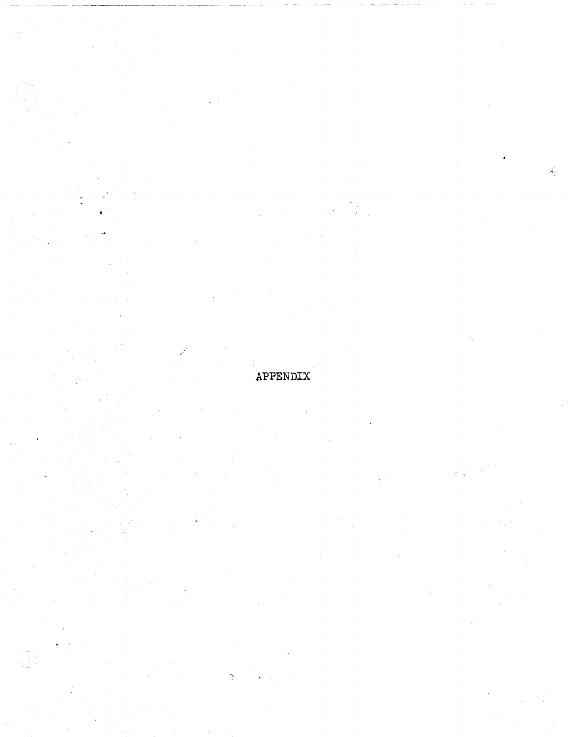# APPENDIX

 $\frac{1}{2}$ 

 $\frac{1}{\sqrt{2}}$